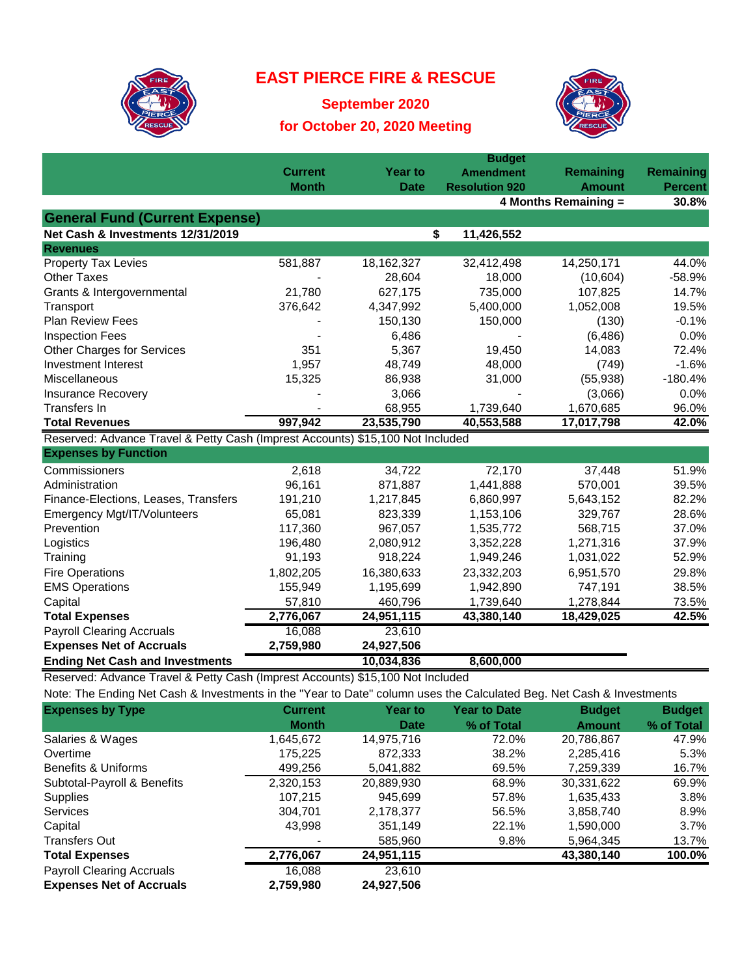

## **EAST PIERCE FIRE & RESCUE**

**September 2020 for October 20, 2020 Meeting**



|                                                                                | <b>Budget</b>  |                |                       |                      |                  |  |  |
|--------------------------------------------------------------------------------|----------------|----------------|-----------------------|----------------------|------------------|--|--|
|                                                                                | <b>Current</b> | <b>Year to</b> | <b>Amendment</b>      | Remaining            | <b>Remaining</b> |  |  |
|                                                                                | <b>Month</b>   | <b>Date</b>    | <b>Resolution 920</b> | <b>Amount</b>        | <b>Percent</b>   |  |  |
|                                                                                |                |                |                       | 4 Months Remaining = | 30.8%            |  |  |
| <b>General Fund (Current Expense)</b>                                          |                |                |                       |                      |                  |  |  |
| Net Cash & Investments 12/31/2019                                              |                |                | \$<br>11,426,552      |                      |                  |  |  |
| <b>Revenues</b>                                                                |                |                |                       |                      |                  |  |  |
| <b>Property Tax Levies</b>                                                     | 581,887        | 18, 162, 327   | 32,412,498            | 14,250,171           | 44.0%            |  |  |
| <b>Other Taxes</b>                                                             |                | 28,604         | 18,000                | (10,604)             | $-58.9%$         |  |  |
| Grants & Intergovernmental                                                     | 21,780         | 627,175        | 735,000               | 107,825              | 14.7%            |  |  |
| Transport                                                                      | 376,642        | 4,347,992      | 5,400,000             | 1,052,008            | 19.5%            |  |  |
| <b>Plan Review Fees</b>                                                        |                | 150,130        | 150,000               | (130)                | $-0.1%$          |  |  |
| <b>Inspection Fees</b>                                                         |                | 6,486          |                       | (6, 486)             | 0.0%             |  |  |
| <b>Other Charges for Services</b>                                              | 351            | 5,367          | 19,450                | 14,083               | 72.4%            |  |  |
| Investment Interest                                                            | 1,957          | 48,749         | 48,000                | (749)                | $-1.6%$          |  |  |
| Miscellaneous                                                                  | 15,325         | 86,938         | 31,000                | (55, 938)            | $-180.4%$        |  |  |
| Insurance Recovery                                                             |                | 3,066          |                       | (3,066)              | 0.0%             |  |  |
| <b>Transfers In</b>                                                            |                | 68,955         | 1,739,640             | 1,670,685            | 96.0%            |  |  |
| <b>Total Revenues</b>                                                          | 997,942        | 23,535,790     | 40,553,588            | 17,017,798           | 42.0%            |  |  |
| Reserved: Advance Travel & Petty Cash (Imprest Accounts) \$15,100 Not Included |                |                |                       |                      |                  |  |  |
| <b>Expenses by Function</b>                                                    |                |                |                       |                      |                  |  |  |
| Commissioners                                                                  | 2,618          | 34,722         | 72,170                | 37,448               | 51.9%            |  |  |
| Administration                                                                 | 96,161         | 871,887        | 1,441,888             | 570,001              | 39.5%            |  |  |
| Finance-Elections, Leases, Transfers                                           | 191,210        | 1,217,845      | 6,860,997             | 5,643,152            | 82.2%            |  |  |
| Emergency Mgt/IT/Volunteers                                                    | 65,081         | 823,339        | 1,153,106             | 329,767              | 28.6%            |  |  |
| Prevention                                                                     | 117,360        | 967,057        | 1,535,772             | 568,715              | 37.0%            |  |  |
| Logistics                                                                      | 196,480        | 2,080,912      | 3,352,228             | 1,271,316            | 37.9%            |  |  |
| Training                                                                       | 91,193         | 918,224        | 1,949,246             | 1,031,022            | 52.9%            |  |  |
| <b>Fire Operations</b>                                                         | 1,802,205      | 16,380,633     | 23,332,203            | 6,951,570            | 29.8%            |  |  |
| <b>EMS Operations</b>                                                          | 155,949        | 1,195,699      | 1,942,890             | 747,191              | 38.5%            |  |  |
| Capital                                                                        | 57,810         | 460,796        | 1,739,640             | 1,278,844            | 73.5%            |  |  |
| <b>Total Expenses</b>                                                          | 2,776,067      | 24,951,115     | 43,380,140            | 18,429,025           | 42.5%            |  |  |
| <b>Payroll Clearing Accruals</b>                                               | 16,088         | 23,610         |                       |                      |                  |  |  |
| <b>Expenses Net of Accruals</b>                                                | 2,759,980      | 24,927,506     |                       |                      |                  |  |  |
| <b>Ending Net Cash and Investments</b>                                         |                | 10,034,836     | 8,600,000             |                      |                  |  |  |
| Reserved: Advance Travel & Petty Cash (Imprest Accounts) \$15,100 Not Included |                |                |                       |                      |                  |  |  |

Note: The Ending Net Cash & Investments in the "Year to Date" column uses the Calculated Beg. Net Cash & Investments

| <b>Expenses by Type</b>          | <b>Current</b> | <b>Year to</b> | <b>Year to Date</b> | <b>Budget</b> | <b>Budget</b> |
|----------------------------------|----------------|----------------|---------------------|---------------|---------------|
|                                  | <b>Month</b>   | Date           | % of Total          | <b>Amount</b> | % of Total    |
| Salaries & Wages                 | 1,645,672      | 14,975,716     | 72.0%               | 20,786,867    | 47.9%         |
| Overtime                         | 175.225        | 872,333        | 38.2%               | 2,285,416     | 5.3%          |
| Benefits & Uniforms              | 499.256        | 5,041,882      | 69.5%               | 7,259,339     | 16.7%         |
| Subtotal-Payroll & Benefits      | 2,320,153      | 20,889,930     | 68.9%               | 30,331,622    | 69.9%         |
| <b>Supplies</b>                  | 107,215        | 945.699        | 57.8%               | 1,635,433     | 3.8%          |
| Services                         | 304.701        | 2,178,377      | 56.5%               | 3,858,740     | 8.9%          |
| Capital                          | 43.998         | 351,149        | 22.1%               | 1,590,000     | 3.7%          |
| <b>Transfers Out</b>             |                | 585,960        | 9.8%                | 5.964.345     | 13.7%         |
| <b>Total Expenses</b>            | 2,776,067      | 24,951,115     |                     | 43,380,140    | 100.0%        |
| <b>Payroll Clearing Accruals</b> | 16,088         | 23,610         |                     |               |               |
| <b>Expenses Net of Accruals</b>  | 2,759,980      | 24,927,506     |                     |               |               |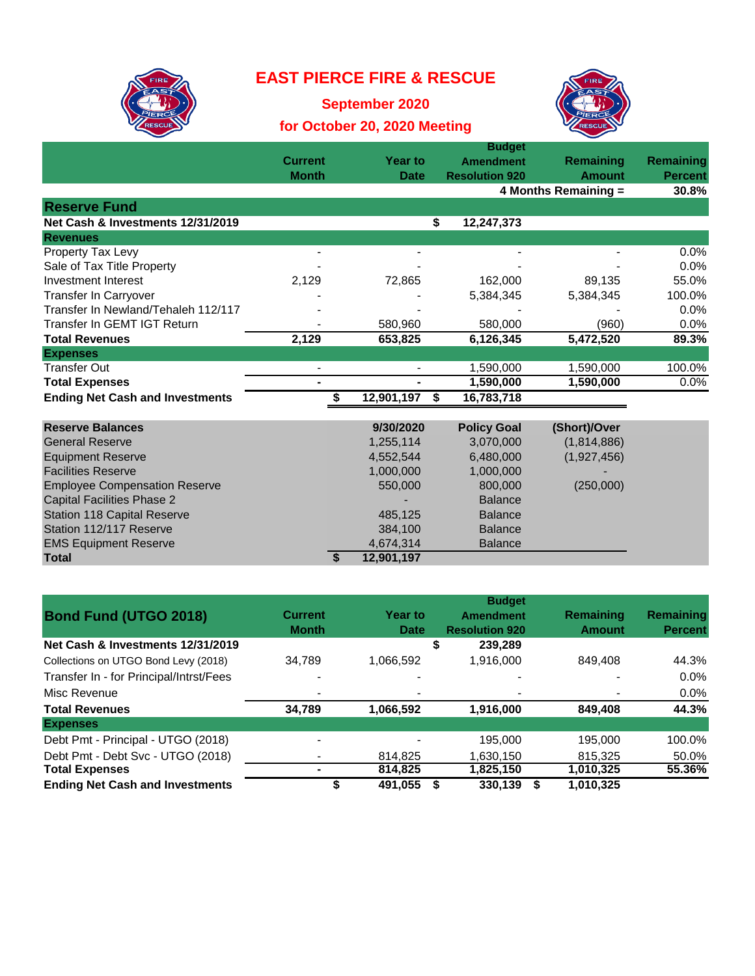## **EAST PIERCE FIRE & RESCUE**



**September 2020**

## **for October 20, 2020 Meeting**



|                                        | <b>Current</b> | <b>Year to</b> | <b>Amendment</b>      | Remaining     | <b>Remaining</b> |
|----------------------------------------|----------------|----------------|-----------------------|---------------|------------------|
|                                        | <b>Month</b>   | <b>Date</b>    | <b>Resolution 920</b> | <b>Amount</b> | <b>Percent</b>   |
|                                        |                |                | 4 Months Remaining =  |               | 30.8%            |
| <b>Reserve Fund</b>                    |                |                |                       |               |                  |
| Net Cash & Investments 12/31/2019      |                |                | \$<br>12,247,373      |               |                  |
| <b>Revenues</b>                        |                |                |                       |               |                  |
| Property Tax Levy                      |                |                |                       |               | 0.0%             |
| Sale of Tax Title Property             |                |                |                       |               | 0.0%             |
| Investment Interest                    | 2,129          | 72,865         | 162,000               | 89,135        | 55.0%            |
| <b>Transfer In Carryover</b>           |                |                | 5,384,345             | 5,384,345     | 100.0%           |
| Transfer In Newland/Tehaleh 112/117    |                |                |                       |               | 0.0%             |
| Transfer In GEMT IGT Return            |                | 580,960        | 580,000               | (960)         | 0.0%             |
| <b>Total Revenues</b>                  | 2,129          | 653,825        | 6,126,345             | 5,472,520     | 89.3%            |
| <b>Expenses</b>                        |                |                |                       |               |                  |
| <b>Transfer Out</b>                    |                | $\blacksquare$ | 1,590,000             | 1,590,000     | 100.0%           |
| <b>Total Expenses</b>                  |                | ٠              | 1,590,000             | 1,590,000     | 0.0%             |
| <b>Ending Net Cash and Investments</b> |                | 12,901,197     | 16,783,718<br>Ŝ.      |               |                  |
|                                        |                |                |                       |               |                  |
| <b>Reserve Balances</b>                |                | 9/30/2020      | <b>Policy Goal</b>    | (Short)/Over  |                  |
| <b>General Reserve</b>                 |                | 1,255,114      | 3,070,000             | (1,814,886)   |                  |
| <b>Equipment Reserve</b>               |                | 4,552,544      | 6,480,000             | (1,927,456)   |                  |
| <b>Facilities Reserve</b>              |                | 1,000,000      | 1,000,000             |               |                  |
| <b>Employee Compensation Reserve</b>   |                | 550,000        | 800,000               | (250,000)     |                  |
| <b>Capital Facilities Phase 2</b>      |                |                | <b>Balance</b>        |               |                  |
| <b>Station 118 Capital Reserve</b>     |                | 485,125        | <b>Balance</b>        |               |                  |
| Station 112/117 Reserve                |                | 384,100        | <b>Balance</b>        |               |                  |

| <b>Bond Fund (UTGO 2018)</b>            | <b>Current</b><br><b>Month</b> | <b>Year to</b><br>Date | <b>Budget</b><br><b>Amendment</b><br><b>Resolution 920</b> | Remaining<br><b>Amount</b> | Remaining<br><b>Percent</b> |
|-----------------------------------------|--------------------------------|------------------------|------------------------------------------------------------|----------------------------|-----------------------------|
| Net Cash & Investments 12/31/2019       |                                |                        | 239.289<br>\$                                              |                            |                             |
| Collections on UTGO Bond Levy (2018)    | 34.789                         | 1.066.592              | 1,916,000                                                  | 849.408                    | 44.3%                       |
| Transfer In - for Principal/Intrst/Fees |                                |                        |                                                            |                            | $0.0\%$                     |
| Misc Revenue                            |                                |                        |                                                            |                            | $0.0\%$                     |
| <b>Total Revenues</b>                   | 34.789                         | 1,066,592              | 1,916,000                                                  | 849,408                    | 44.3%                       |
| <b>Expenses</b>                         |                                |                        |                                                            |                            |                             |
| Debt Pmt - Principal - UTGO (2018)      |                                |                        | 195,000                                                    | 195.000                    | 100.0%                      |
| Debt Pmt - Debt Svc - UTGO (2018)       |                                | 814.825                | 1.630.150                                                  | 815.325                    | 50.0%                       |
| <b>Total Expenses</b>                   |                                | 814.825                | 1,825,150                                                  | 1,010,325                  | 55.36%                      |
| <b>Ending Net Cash and Investments</b>  |                                | 491.055                | 330.139                                                    | 1.010.325                  |                             |

EMS Equipment Reserve **ACCO EXECO 4,674,314** Balance

**Total \$ 12,901,197**